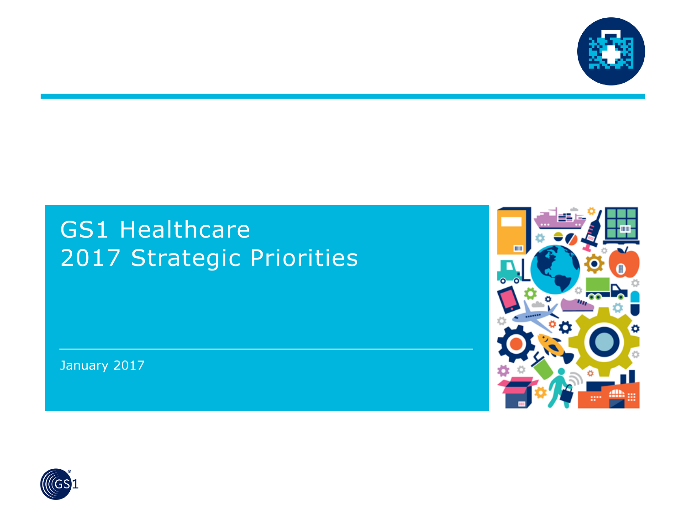

### GS1 Healthcare 2017 Strategic Priorities

January 2017



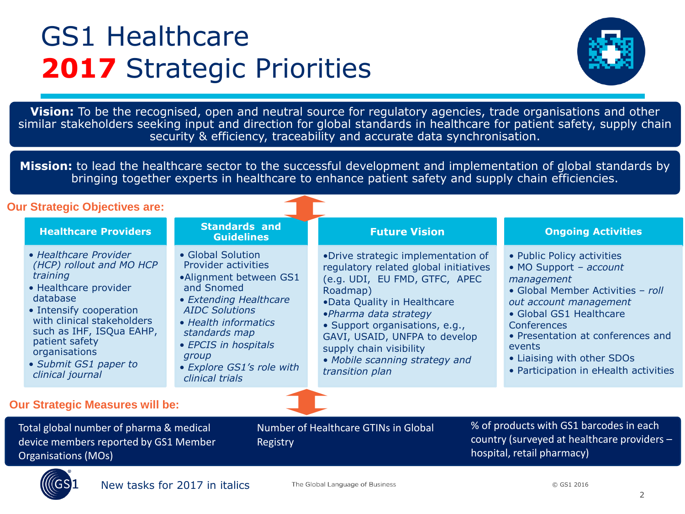## GS1 Healthcare **2017** Strategic Priorities



similar stakeholders seeking input and direction for global standards in healthcare for patient safety, supply chain<br>Security & efficioney, tracophility and accurate data synchronication **Vision:** To be the recognised, open and neutral source for regulatory agencies, trade organisations and other security & efficiency, traceability and accurate data synchronisation.

**Mission:** to lead the healthcare sector to the successful development and implementation of global standards by bringing together experts in healthcare to enhance patient safety and supply chain efficiencies.

#### **Our Strategic Objectives are:**

| oar otratogio Objectivos arc.          |                                                                                                                                                                                                                                                                         |                                                                                                                                                                                                                                                               |                                                                                                                                                                                                                                                                                                                                     |                                                                                                                      |                                                                                                                                                                                                                                                                                                   |
|----------------------------------------|-------------------------------------------------------------------------------------------------------------------------------------------------------------------------------------------------------------------------------------------------------------------------|---------------------------------------------------------------------------------------------------------------------------------------------------------------------------------------------------------------------------------------------------------------|-------------------------------------------------------------------------------------------------------------------------------------------------------------------------------------------------------------------------------------------------------------------------------------------------------------------------------------|----------------------------------------------------------------------------------------------------------------------|---------------------------------------------------------------------------------------------------------------------------------------------------------------------------------------------------------------------------------------------------------------------------------------------------|
|                                        | <b>Healthcare Providers</b>                                                                                                                                                                                                                                             | <b>Standards and</b><br><b>Guidelines</b>                                                                                                                                                                                                                     | <b>Future Vision</b>                                                                                                                                                                                                                                                                                                                |                                                                                                                      | <b>Ongoing Activities</b>                                                                                                                                                                                                                                                                         |
|                                        | • Healthcare Provider<br>(HCP) rollout and MO HCP<br>training<br>• Healthcare provider<br>database<br>• Intensify cooperation<br>with clinical stakeholders<br>such as IHF, ISQua EAHP,<br>patient safety<br>organisations<br>• Submit GS1 paper to<br>clinical journal | • Global Solution<br>Provider activities<br>•Alignment between GS1<br>and Snomed<br>• Extending Healthcare<br><b>AIDC Solutions</b><br>• Health informatics<br>standards map<br>• EPCIS in hospitals<br>group<br>• Explore GS1's role with<br>clinical trials | •Drive strategic implementation of<br>regulatory related global initiatives<br>(e.g. UDI, EU FMD, GTFC, APEC<br>Roadmap)<br>.Data Quality in Healthcare<br>·Pharma data strategy<br>• Support organisations, e.g.,<br>GAVI, USAID, UNFPA to develop<br>supply chain visibility<br>• Mobile scanning strategy and<br>transition plan |                                                                                                                      | • Public Policy activities<br>• MO Support - account<br>management<br>• Global Member Activities - roll<br>out account management<br>• Global GS1 Healthcare<br>Conferences<br>• Presentation at conferences and<br>events<br>• Liaising with other SDOs<br>• Participation in eHealth activities |
| <b>Our Strategic Measures will be:</b> |                                                                                                                                                                                                                                                                         |                                                                                                                                                                                                                                                               |                                                                                                                                                                                                                                                                                                                                     |                                                                                                                      |                                                                                                                                                                                                                                                                                                   |
|                                        | Total global number of pharma & medical<br>device members reported by GS1 Member<br><b>Organisations (MOs)</b>                                                                                                                                                          | Registry                                                                                                                                                                                                                                                      | <b>Number of Healthcare GTINs in Global</b>                                                                                                                                                                                                                                                                                         | % of products with GS1 barcodes in each<br>country (surveyed at healthcare providers -<br>hospital, retail pharmacy) |                                                                                                                                                                                                                                                                                                   |

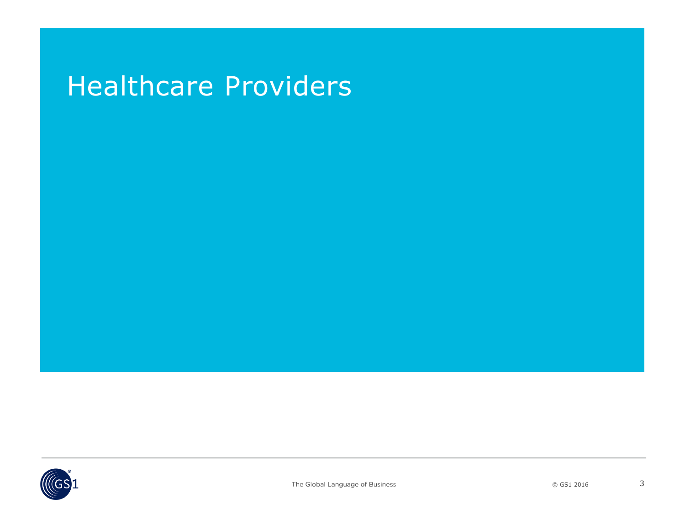### Healthcare Providers

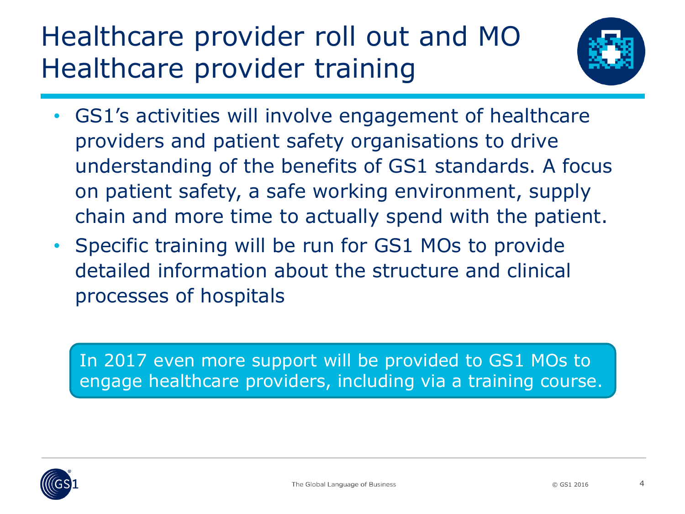# Healthcare provider roll out and MO Healthcare provider training



- GS1's activities will involve engagement of healthcare providers and patient safety organisations to drive understanding of the benefits of GS1 standards. A focus on patient safety, a safe working environment, supply chain and more time to actually spend with the patient.
- Specific training will be run for GS1 MOs to provide detailed information about the structure and clinical processes of hospitals

In 2017 even more support will be provided to GS1 MOs to engage healthcare providers, including via a training course.

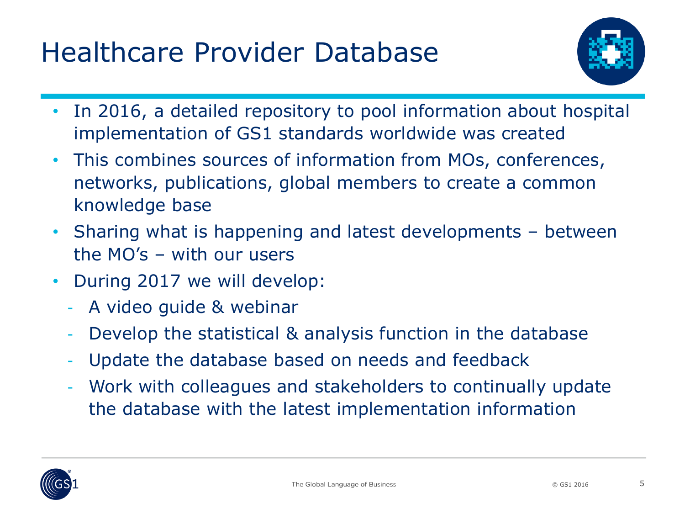# Healthcare Provider Database



- In 2016, a detailed repository to pool information about hospital implementation of GS1 standards worldwide was created
- This combines sources of information from MOs, conferences, networks, publications, global members to create a common knowledge base
- Sharing what is happening and latest developments between the MO's – with our users
- During 2017 we will develop:
	- A video guide & webinar
	- Develop the statistical & analysis function in the database
	- Update the database based on needs and feedback
	- Work with colleagues and stakeholders to continually update the database with the latest implementation information

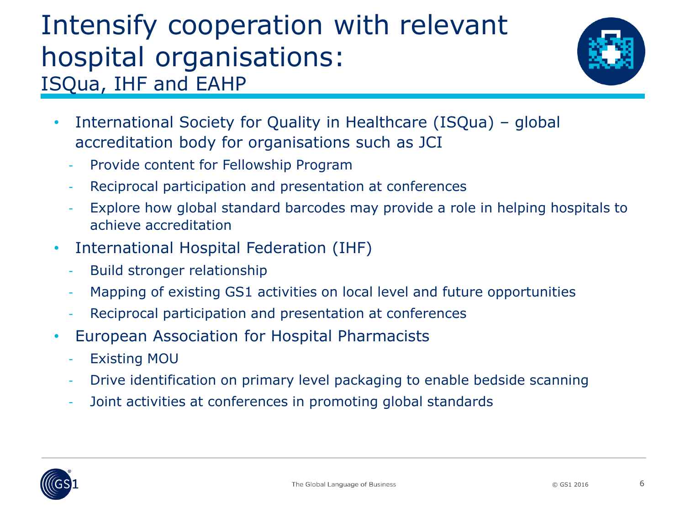### Intensify cooperation with relevant hospital organisations: ISQua, IHF and EAHP



- International Society for Quality in Healthcare (ISQua) global accreditation body for organisations such as JCI
	- Provide content for Fellowship Program
	- Reciprocal participation and presentation at conferences
	- Explore how global standard barcodes may provide a role in helping hospitals to achieve accreditation
- International Hospital Federation (IHF)
	- Build stronger relationship
	- Mapping of existing GS1 activities on local level and future opportunities
	- Reciprocal participation and presentation at conferences
- European Association for Hospital Pharmacists
	- Existing MOU
	- Drive identification on primary level packaging to enable bedside scanning
	- Joint activities at conferences in promoting global standards

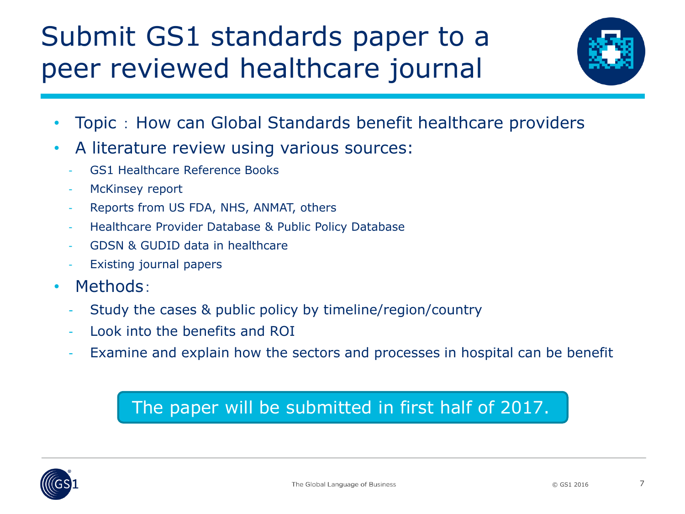# Submit GS1 standards paper to a peer reviewed healthcare journal



- Topic : How can Global Standards benefit healthcare providers
- A literature review using various sources:
	- GS1 Healthcare Reference Books
	- McKinsey report
	- Reports from US FDA, NHS, ANMAT, others
	- Healthcare Provider Database & Public Policy Database
	- GDSN & GUDID data in healthcare
	- Existing journal papers
- Methods:
	- Study the cases & public policy by timeline/region/country
	- Look into the benefits and ROI
	- Examine and explain how the sectors and processes in hospital can be benefit

#### The paper will be submitted in first half of 2017.

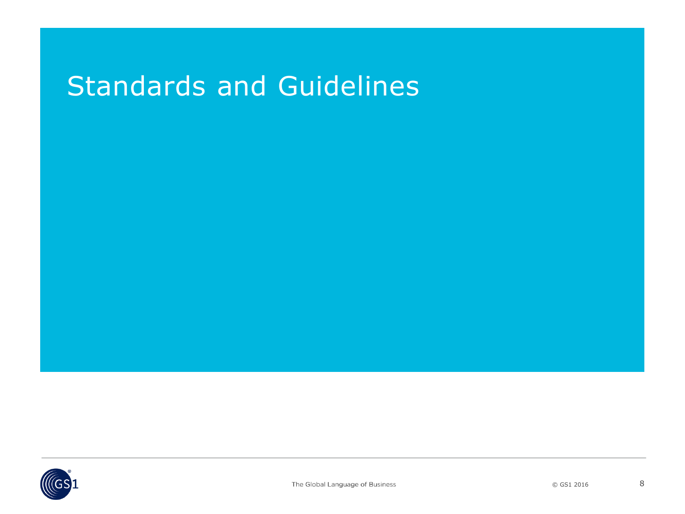### Standards and Guidelines

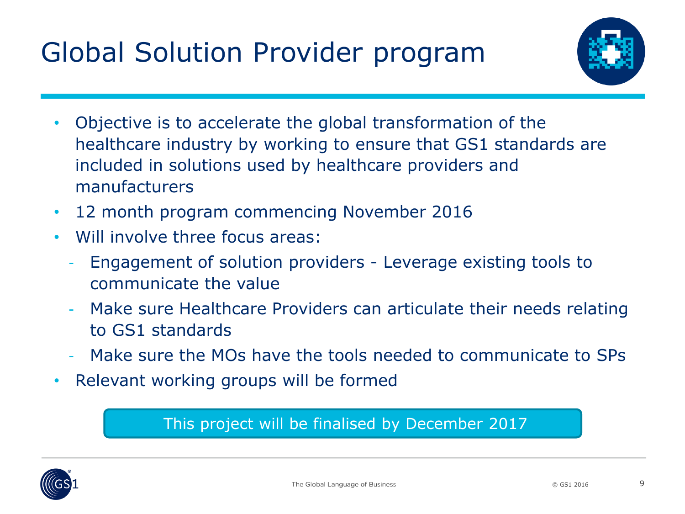# Global Solution Provider program



- Objective is to accelerate the global transformation of the healthcare industry by working to ensure that GS1 standards are included in solutions used by healthcare providers and manufacturers
- 12 month program commencing November 2016
- Will involve three focus areas:
	- Engagement of solution providers Leverage existing tools to communicate the value
	- Make sure Healthcare Providers can articulate their needs relating to GS1 standards
	- Make sure the MOs have the tools needed to communicate to SPs
- Relevant working groups will be formed

#### This project will be finalised by December 2017

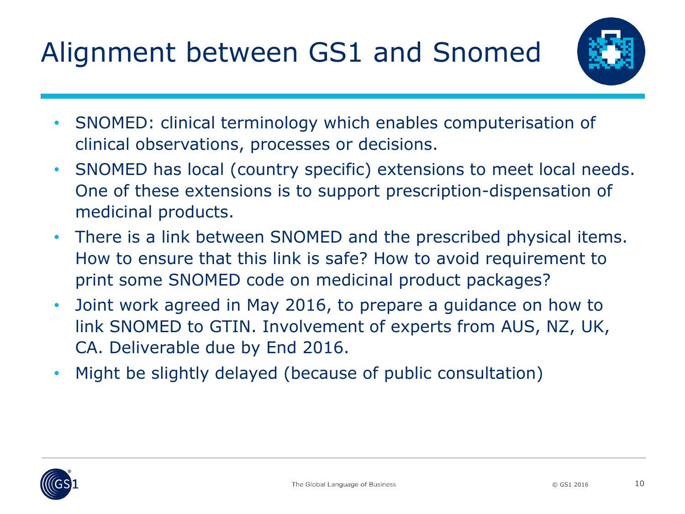# Alignment between GS1 and Snomed



- SNOMED: clinical terminology which enables computerisation of clinical observations, processes or decisions.
- SNOMED has local (country specific) extensions to meet local needs. One of these extensions is to support prescription-dispensation of medicinal products.
- There is a link between SNOMED and the prescribed physical items. How to ensure that this link is safe? How to avoid requirement to print some SNOMED code on medicinal product packages?
- Joint work agreed in May 2016, to prepare a guidance on how to link SNOMED to GTIN. Involvement of experts from AUS, NZ, UK, CA. Deliverable due by End 2016.
- Might be slightly delayed (because of public consultation)

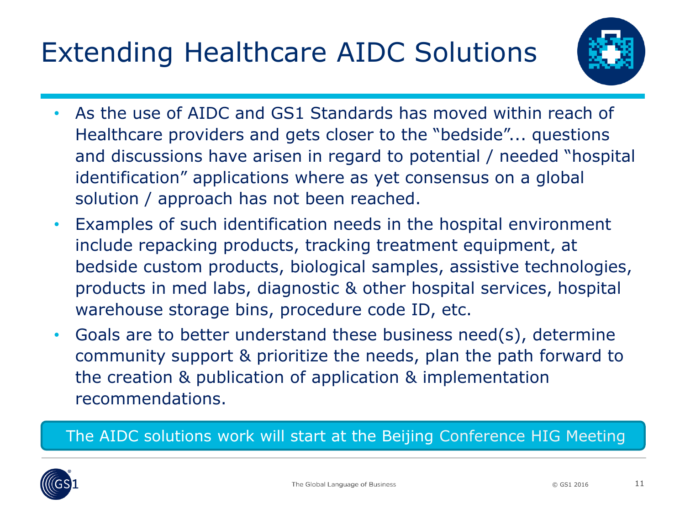# Extending Healthcare AIDC Solutions



- As the use of AIDC and GS1 Standards has moved within reach of Healthcare providers and gets closer to the "bedside"... questions and discussions have arisen in regard to potential / needed "hospital identification" applications where as yet consensus on a global solution / approach has not been reached.
- Examples of such identification needs in the hospital environment include repacking products, tracking treatment equipment, at bedside custom products, biological samples, assistive technologies, products in med labs, diagnostic & other hospital services, hospital warehouse storage bins, procedure code ID, etc.
- Goals are to better understand these business need(s), determine community support & prioritize the needs, plan the path forward to the creation & publication of application & implementation recommendations.

The AIDC solutions work will start at the Beijing Conference HIG Meeting

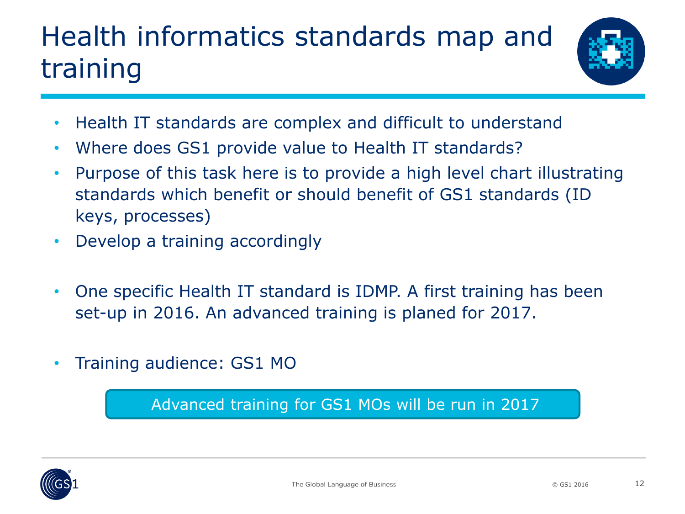# Health informatics standards map and training



- Health IT standards are complex and difficult to understand
- Where does GS1 provide value to Health IT standards?
- Purpose of this task here is to provide a high level chart illustrating standards which benefit or should benefit of GS1 standards (ID keys, processes)
- Develop a training accordingly
- One specific Health IT standard is IDMP. A first training has been set-up in 2016. An advanced training is planed for 2017.
- Training audience: GS1 MO

Advanced training for GS1 MOs will be run in 2017

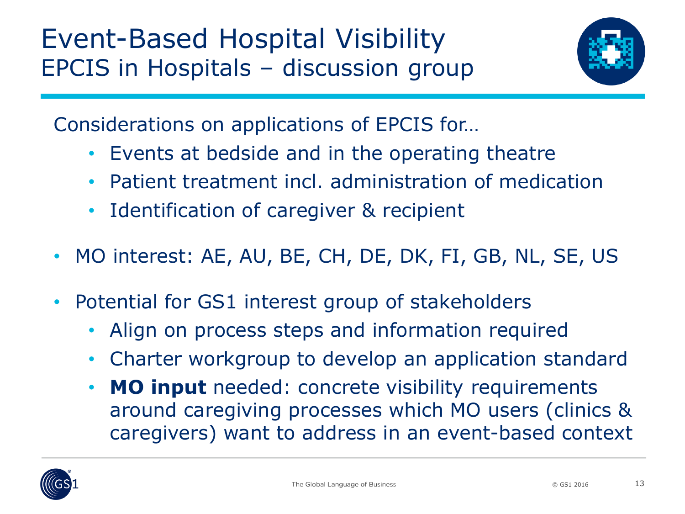

Considerations on applications of EPCIS for…

- Events at bedside and in the operating theatre
- Patient treatment incl. administration of medication
- Identification of caregiver & recipient
- MO interest: AE, AU, BE, CH, DE, DK, FI, GB, NL, SE, US
- Potential for GS1 interest group of stakeholders
	- Align on process steps and information required
	- Charter workgroup to develop an application standard
	- **MO input** needed: concrete visibility requirements around caregiving processes which MO users (clinics & caregivers) want to address in an event-based context

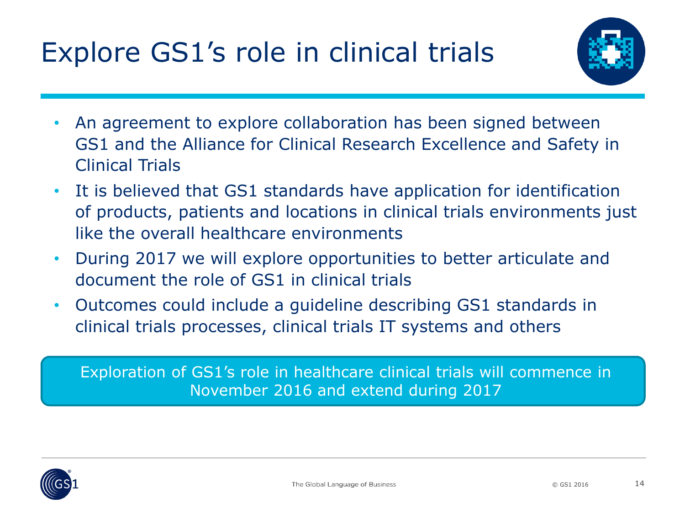# Explore GS1's role in clinical trials



- An agreement to explore collaboration has been signed between GS1 and the Alliance for Clinical Research Excellence and Safety in Clinical Trials
- It is believed that GS1 standards have application for identification of products, patients and locations in clinical trials environments just like the overall healthcare environments
- During 2017 we will explore opportunities to better articulate and document the role of GS1 in clinical trials
- Outcomes could include a guideline describing GS1 standards in clinical trials processes, clinical trials IT systems and others

Exploration of GS1's role in healthcare clinical trials will commence in November 2016 and extend during 2017

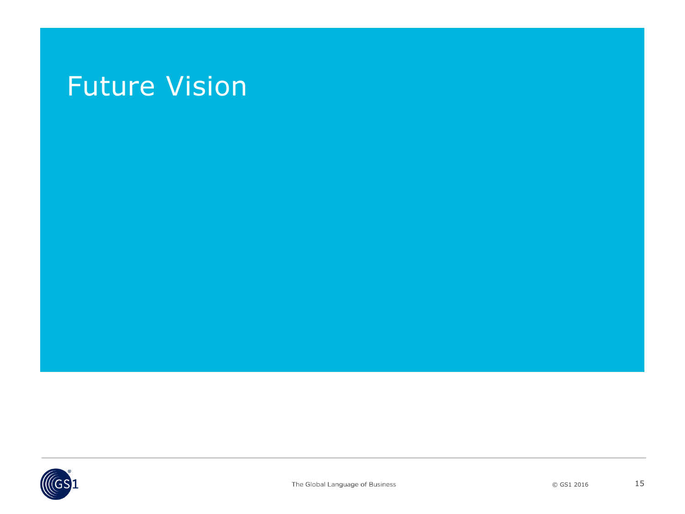### Future Vision

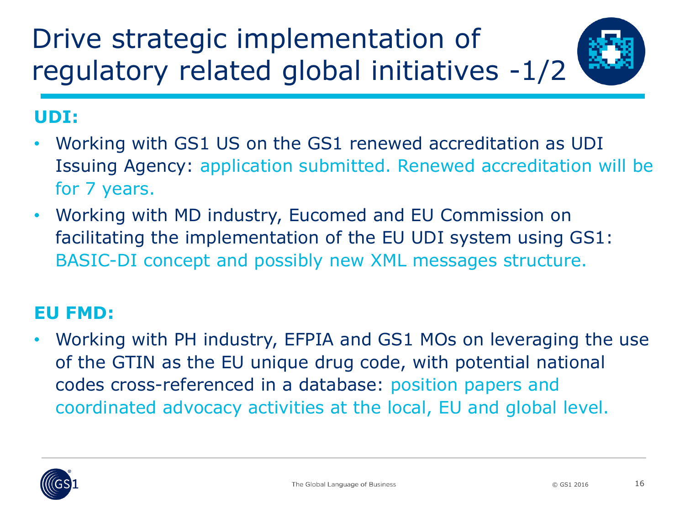Drive strategic implementation of regulatory related global initiatives -1/2

#### **UDI:**

- Working with GS1 US on the GS1 renewed accreditation as UDI Issuing Agency: application submitted. Renewed accreditation will be for 7 years.
- Working with MD industry, Eucomed and EU Commission on facilitating the implementation of the EU UDI system using GS1: BASIC-DI concept and possibly new XML messages structure.

#### **EU FMD:**

• Working with PH industry, EFPIA and GS1 MOs on leveraging the use of the GTIN as the EU unique drug code, with potential national codes cross-referenced in a database: position papers and coordinated advocacy activities at the local, EU and global level.

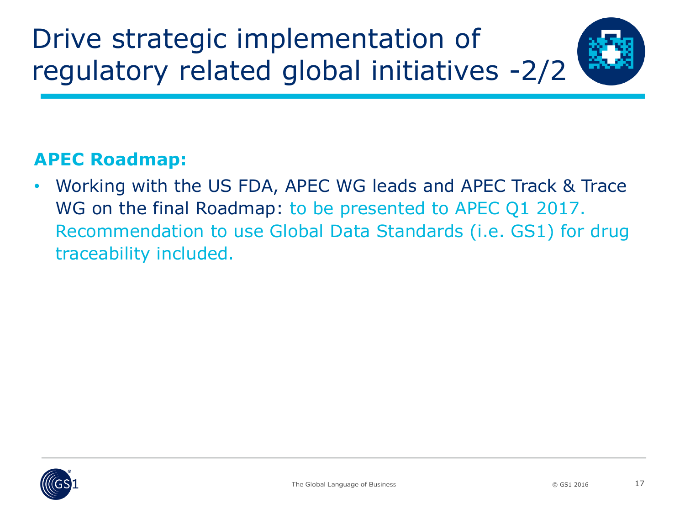

#### **APEC Roadmap:**

• Working with the US FDA, APEC WG leads and APEC Track & Trace WG on the final Roadmap: to be presented to APEC Q1 2017. Recommendation to use Global Data Standards (i.e. GS1) for drug traceability included.

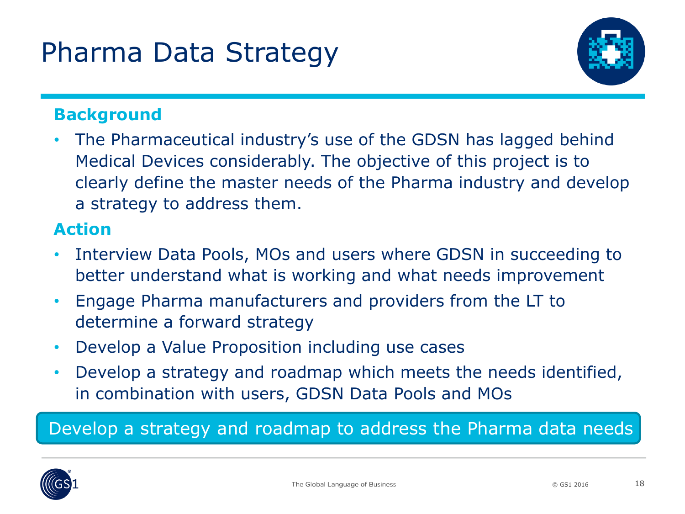

#### **Background**

• The Pharmaceutical industry's use of the GDSN has lagged behind Medical Devices considerably. The objective of this project is to clearly define the master needs of the Pharma industry and develop a strategy to address them.

#### **Action**

- Interview Data Pools, MOs and users where GDSN in succeeding to better understand what is working and what needs improvement
- Engage Pharma manufacturers and providers from the LT to determine a forward strategy
- Develop a Value Proposition including use cases
- Develop a strategy and roadmap which meets the needs identified, in combination with users, GDSN Data Pools and MOs

#### Develop a strategy and roadmap to address the Pharma data needs

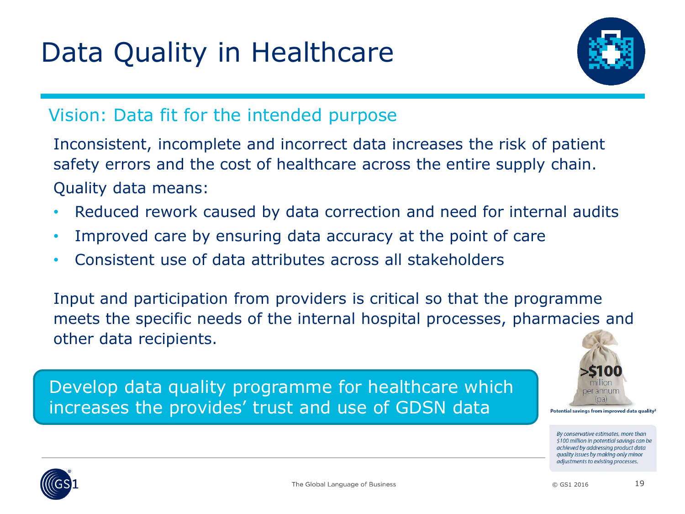# Data Quality in Healthcare



#### Vision: Data fit for the intended purpose

Inconsistent, incomplete and incorrect data increases the risk of patient safety errors and the cost of healthcare across the entire supply chain. Quality data means:

- Reduced rework caused by data correction and need for internal audits
- Improved care by ensuring data accuracy at the point of care
- Consistent use of data attributes across all stakeholders

Input and participation from providers is critical so that the programme meets the specific needs of the internal hospital processes, pharmacies and other data recipients.

Develop data quality programme for healthcare which increases the provides' trust and use of GDSN data



Potential savings from improved data quality<sup>3</sup>

By conservative estimates, more than \$100 million in potential savings can be achieved by addressing product data quality issues by making only minor adjustments to existing processes.

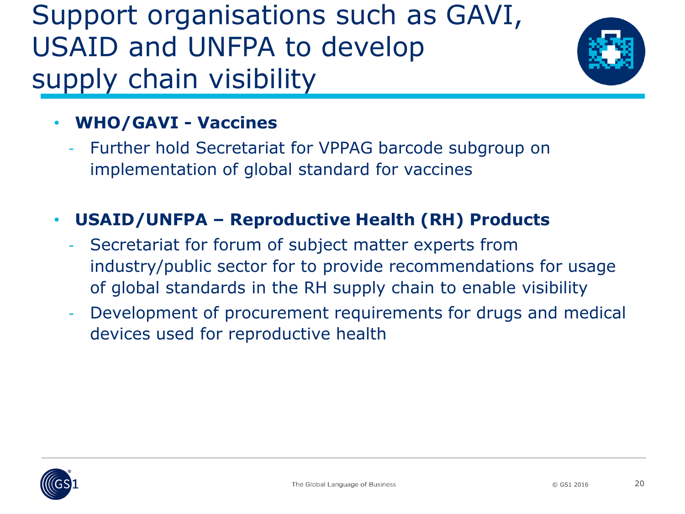Support organisations such as GAVI, USAID and UNFPA to develop supply chain visibility



#### • **WHO/GAVI - Vaccines**

Further hold Secretariat for VPPAG barcode subgroup on implementation of global standard for vaccines

#### • **USAID/UNFPA – Reproductive Health (RH) Products**

- Secretariat for forum of subject matter experts from industry/public sector for to provide recommendations for usage of global standards in the RH supply chain to enable visibility
- Development of procurement requirements for drugs and medical devices used for reproductive health

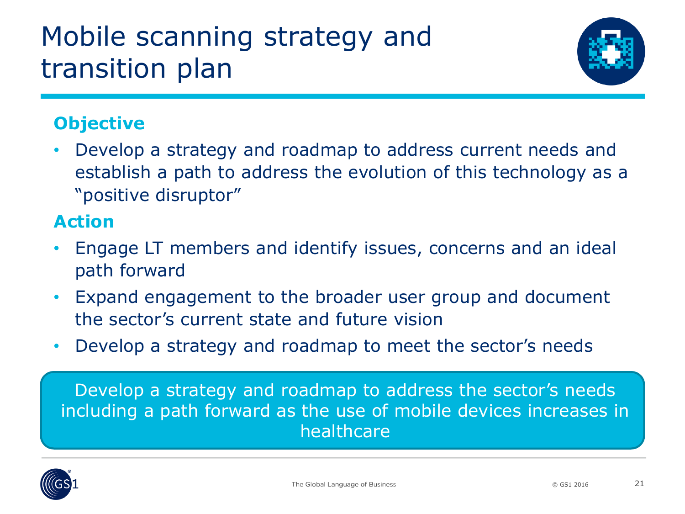# Mobile scanning strategy and transition plan



#### **Objective**

• Develop a strategy and roadmap to address current needs and establish a path to address the evolution of this technology as a "positive disruptor"

#### **Action**

- Engage LT members and identify issues, concerns and an ideal path forward
- Expand engagement to the broader user group and document the sector's current state and future vision
- Develop a strategy and roadmap to meet the sector's needs

Develop a strategy and roadmap to address the sector's needs including a path forward as the use of mobile devices increases in healthcare

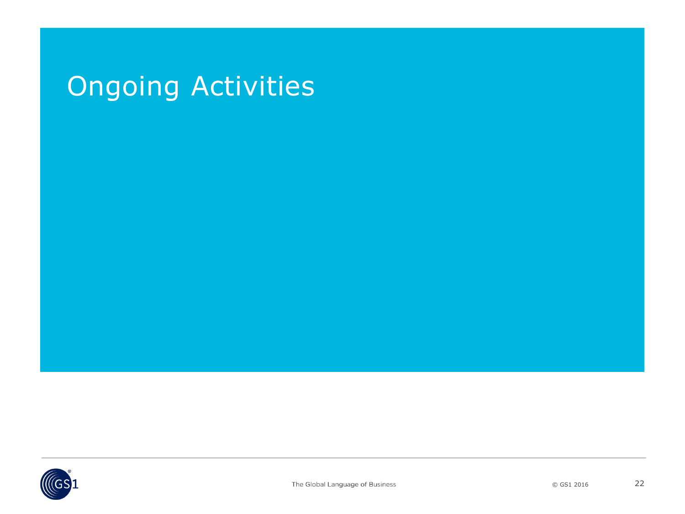# Ongoing Activities

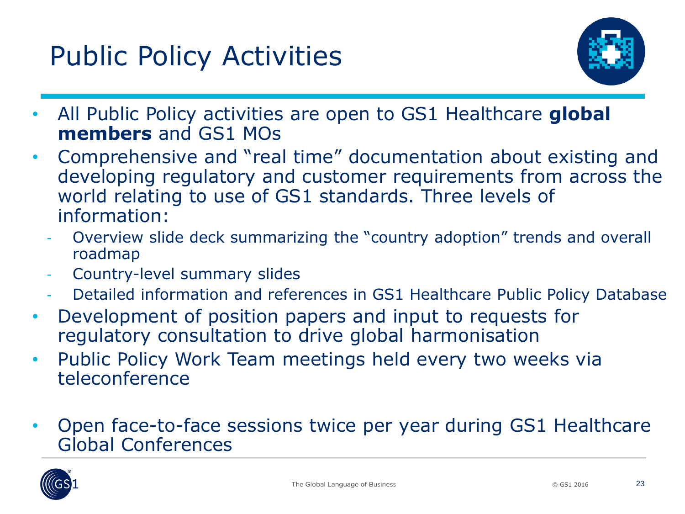# Public Policy Activities



- All Public Policy activities are open to GS1 Healthcare **global members** and GS1 MOs
- Comprehensive and "real time" documentation about existing and developing regulatory and customer requirements from across the world relating to use of GS1 standards. Three levels of information:
	- Overview slide deck summarizing the "country adoption" trends and overall roadmap
	- Country-level summary slides
	- Detailed information and references in GS1 Healthcare Public Policy Database
- Development of position papers and input to requests for regulatory consultation to drive global harmonisation
- Public Policy Work Team meetings held every two weeks via teleconference
- Open face-to-face sessions twice per year during GS1 Healthcare Global Conferences

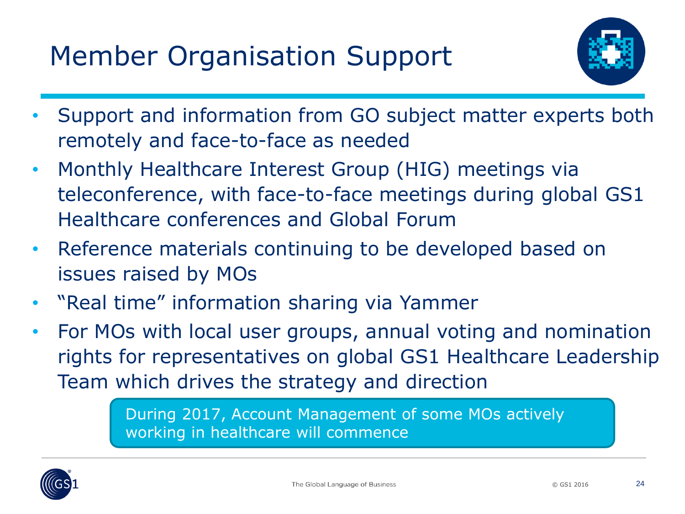# Member Organisation Support



- Support and information from GO subject matter experts both remotely and face-to-face as needed
- Monthly Healthcare Interest Group (HIG) meetings via teleconference, with face-to-face meetings during global GS1 Healthcare conferences and Global Forum
- Reference materials continuing to be developed based on issues raised by MOs
- "Real time" information sharing via Yammer
- For MOs with local user groups, annual voting and nomination rights for representatives on global GS1 Healthcare Leadership Team which drives the strategy and direction

During 2017, Account Management of some MOs actively working in healthcare will commence

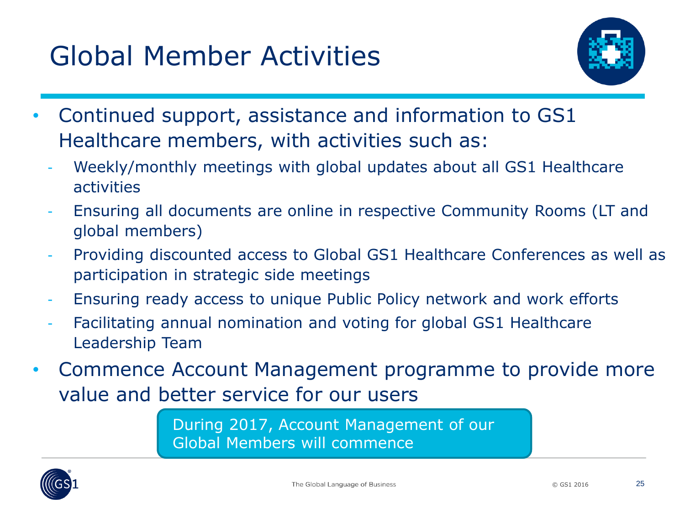# Global Member Activities



- Continued support, assistance and information to GS1 Healthcare members, with activities such as:
	- Weekly/monthly meetings with global updates about all GS1 Healthcare activities
	- Ensuring all documents are online in respective Community Rooms (LT and global members)
	- Providing discounted access to Global GS1 Healthcare Conferences as well as participation in strategic side meetings
	- Ensuring ready access to unique Public Policy network and work efforts
	- Facilitating annual nomination and voting for global GS1 Healthcare Leadership Team
- Commence Account Management programme to provide more value and better service for our users

During 2017, Account Management of our Global Members will commence

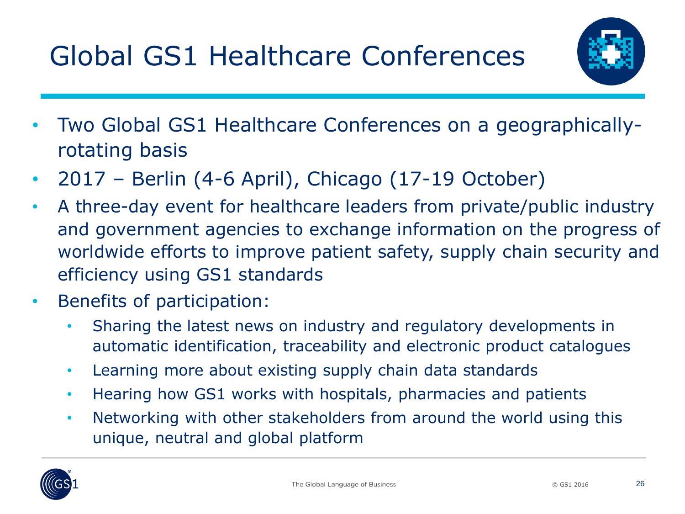

- Two Global GS1 Healthcare Conferences on a geographicallyrotating basis
- 2017 Berlin (4-6 April), Chicago (17-19 October)
- A three-day event for healthcare leaders from private/public industry and government agencies to exchange information on the progress of worldwide efforts to improve patient safety, supply chain security and efficiency using GS1 standards
- Benefits of participation:
	- Sharing the latest news on industry and regulatory developments in automatic identification, traceability and electronic product catalogues
	- Learning more about existing supply chain data standards
	- Hearing how GS1 works with hospitals, pharmacies and patients
	- Networking with other stakeholders from around the world using this unique, neutral and global platform

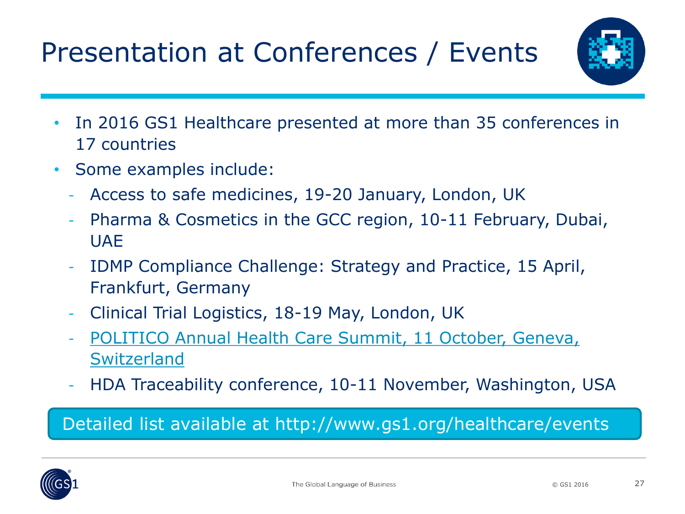# Presentation at Conferences / Events



- In 2016 GS1 Healthcare presented at more than 35 conferences in 17 countries
- Some examples include:
	- Access to safe medicines, 19-20 January, London, UK
	- Pharma & Cosmetics in the GCC region, 10-11 February, Dubai, UAE
	- IDMP Compliance Challenge: Strategy and Practice, 15 April, Frankfurt, Germany
	- Clinical Trial Logistics, 18-19 May, London, UK
	- [POLITICO Annual Health Care Summit, 11 October, Geneva,](http://www.healthcaresummit.eu/) **Switzerland**
	- HDA Traceability conference, 10-11 November, Washington, USA

#### Detailed list available at http://www.gs1.org/healthcare/events

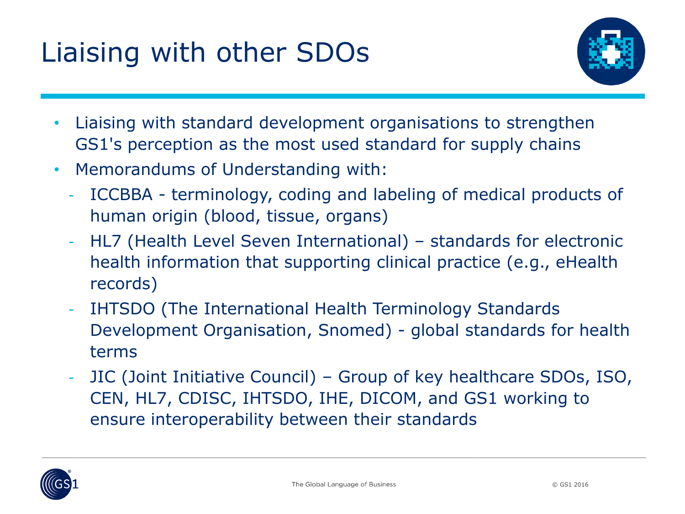# Liaising with other SDOs



- Liaising with standard development organisations to strengthen GS1's perception as the most used standard for supply chains
- Memorandums of Understanding with:
	- ICCBBA terminology, coding and labeling of medical products of human origin (blood, tissue, organs)
	- HL7 (Health Level Seven International) standards for electronic health information that supporting clinical practice (e.g., eHealth records)
	- IHTSDO (The International Health Terminology Standards Development Organisation, Snomed) - global standards for health terms
	- JIC (Joint Initiative Council) Group of key healthcare SDOs, ISO, CEN, HL7, CDISC, IHTSDO, IHE, DICOM, and GS1 working to ensure interoperability between their standards

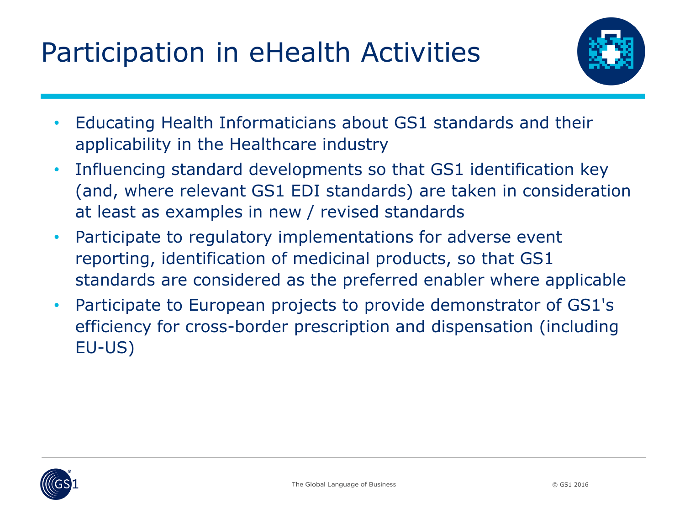# Participation in eHealth Activities



- Educating Health Informaticians about GS1 standards and their applicability in the Healthcare industry
- Influencing standard developments so that GS1 identification key (and, where relevant GS1 EDI standards) are taken in consideration at least as examples in new / revised standards
- Participate to regulatory implementations for adverse event reporting, identification of medicinal products, so that GS1 standards are considered as the preferred enabler where applicable
- Participate to European projects to provide demonstrator of GS1's efficiency for cross-border prescription and dispensation (including EU-US)

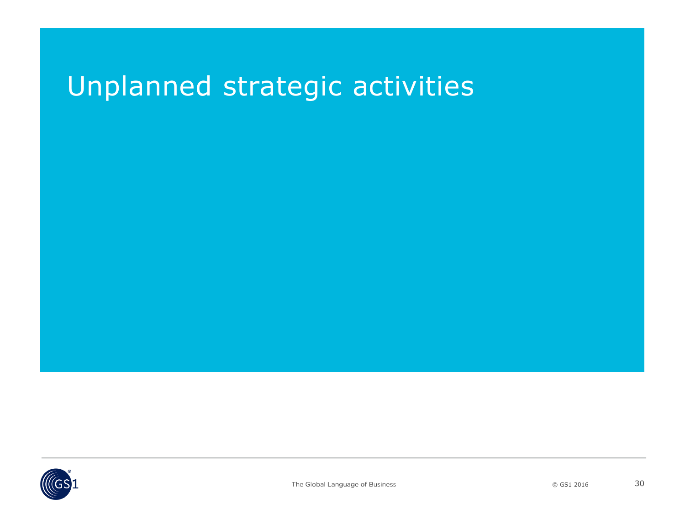### Unplanned strategic activities

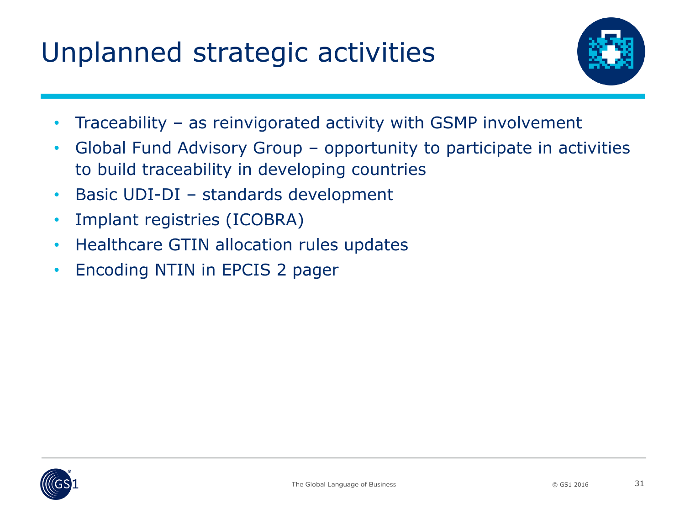# Unplanned strategic activities



- Traceability as reinvigorated activity with GSMP involvement
- Global Fund Advisory Group opportunity to participate in activities to build traceability in developing countries
- Basic UDI-DI standards development
- Implant registries (ICOBRA)
- Healthcare GTIN allocation rules updates
- Encoding NTIN in EPCIS 2 pager